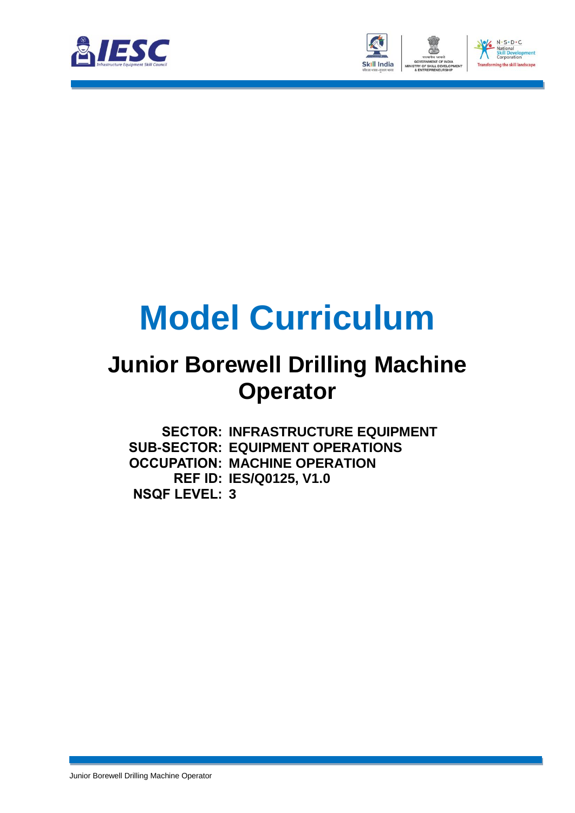



# **Model Curriculum**

### **Junior Borewell Drilling Machine Operator**

**SECTOR: INFRASTRUCTURE EQUIPMENT SUB-SECTOR: EQUIPMENT OPERATIONS OCCUPATION: MACHINE OPERATION REF ID: IES/Q0125, V1.0 NSQF LEVEL: 3**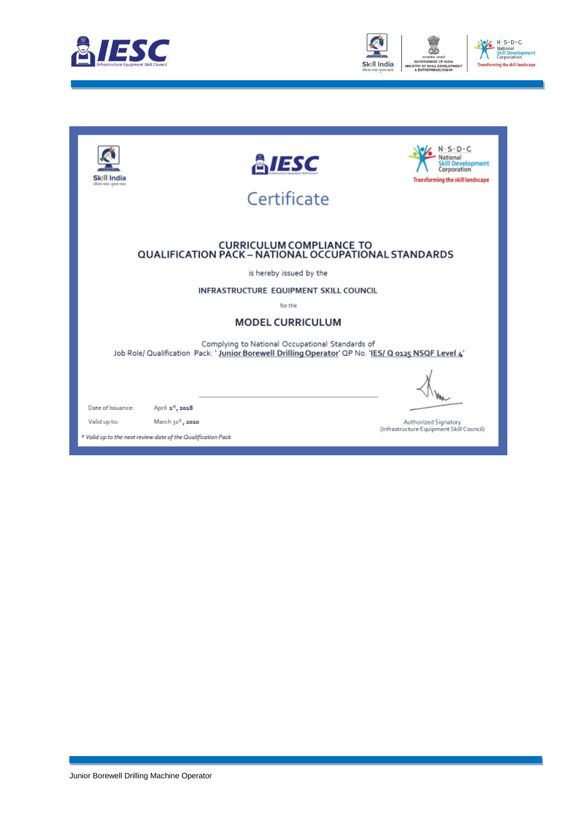



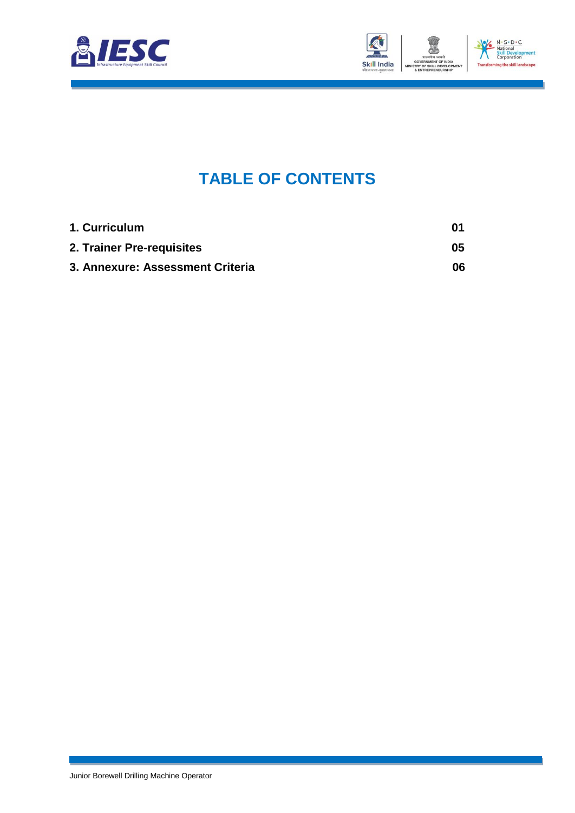



### **TABLE OF CONTENTS**

<span id="page-2-2"></span><span id="page-2-1"></span><span id="page-2-0"></span>

| 1. Curriculum                    | 01  |
|----------------------------------|-----|
| 2. Trainer Pre-requisites        | 05  |
| 3. Annexure: Assessment Criteria | 06. |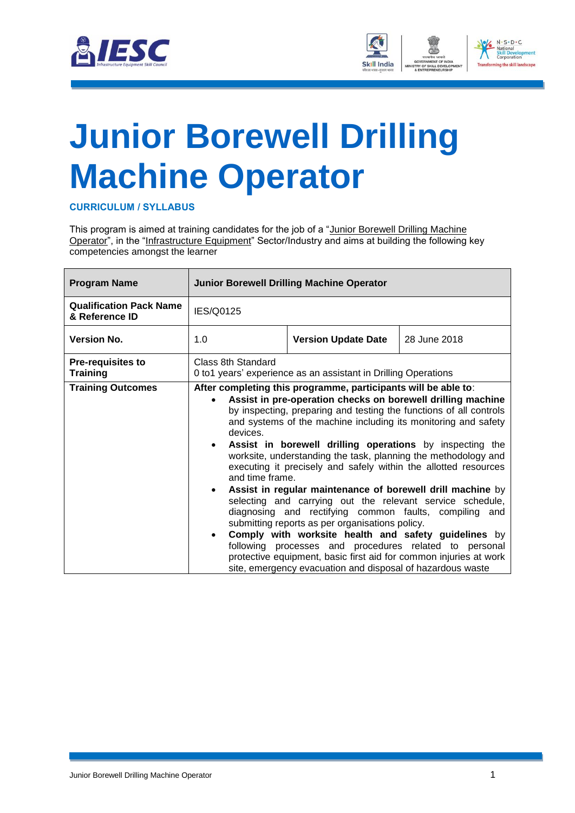



## <span id="page-3-0"></span>**[Junior Borewell Drilling](#page-2-0) [Machine Operator](#page-2-0)**

**CURRICULUM / SYLLABUS**

This program is aimed at training candidates for the job of a "Junior Borewell Drilling Machine Operator", in the "Infrastructure Equipment" Sector/Industry and aims at building the following key competencies amongst the learner

| <b>Program Name</b>                              |                                          | <b>Junior Borewell Drilling Machine Operator</b>                                                                                                                                                                                                                                                                                                                                                                                                                                                                                                                                                                                                                                                                                                                                                                                                                                                                                                                    |              |
|--------------------------------------------------|------------------------------------------|---------------------------------------------------------------------------------------------------------------------------------------------------------------------------------------------------------------------------------------------------------------------------------------------------------------------------------------------------------------------------------------------------------------------------------------------------------------------------------------------------------------------------------------------------------------------------------------------------------------------------------------------------------------------------------------------------------------------------------------------------------------------------------------------------------------------------------------------------------------------------------------------------------------------------------------------------------------------|--------------|
| <b>Qualification Pack Name</b><br>& Reference ID | IES/Q0125                                |                                                                                                                                                                                                                                                                                                                                                                                                                                                                                                                                                                                                                                                                                                                                                                                                                                                                                                                                                                     |              |
| <b>Version No.</b>                               | 1.0                                      | <b>Version Update Date</b>                                                                                                                                                                                                                                                                                                                                                                                                                                                                                                                                                                                                                                                                                                                                                                                                                                                                                                                                          | 28 June 2018 |
| <b>Pre-requisites to</b><br><b>Training</b>      | Class 8th Standard                       | 0 to1 years' experience as an assistant in Drilling Operations                                                                                                                                                                                                                                                                                                                                                                                                                                                                                                                                                                                                                                                                                                                                                                                                                                                                                                      |              |
| <b>Training Outcomes</b>                         | devices.<br>and time frame.<br>$\bullet$ | After completing this programme, participants will be able to:<br>Assist in pre-operation checks on borewell drilling machine<br>by inspecting, preparing and testing the functions of all controls<br>and systems of the machine including its monitoring and safety<br>Assist in borewell drilling operations by inspecting the<br>worksite, understanding the task, planning the methodology and<br>executing it precisely and safely within the allotted resources<br>Assist in regular maintenance of borewell drill machine by<br>selecting and carrying out the relevant service schedule,<br>diagnosing and rectifying common faults, compiling and<br>submitting reports as per organisations policy.<br>Comply with worksite health and safety guidelines by<br>following processes and procedures related to personal<br>protective equipment, basic first aid for common injuries at work<br>site, emergency evacuation and disposal of hazardous waste |              |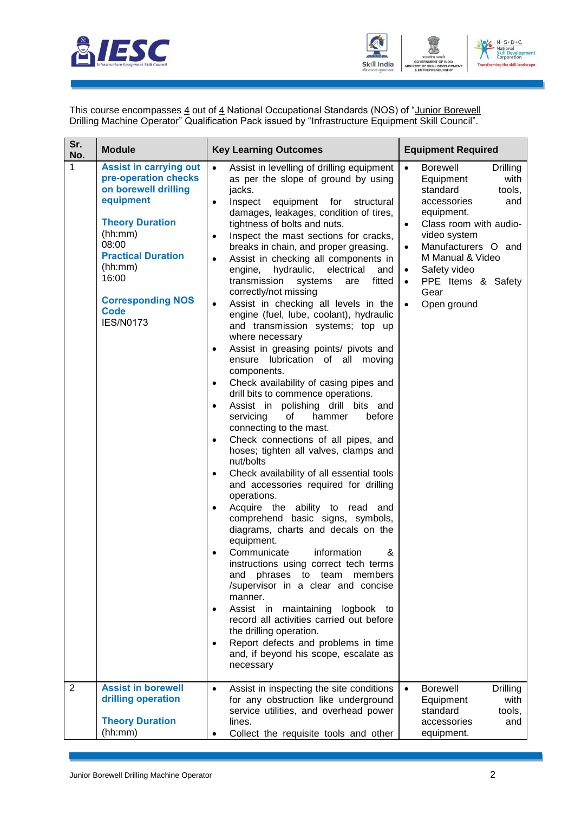



This course encompasses <u>4</u> out of <u>4</u> National Occupational Standards (NOS) of "<u>Junior Borewell</u> Drilling Machine Operator" Qualification Pack issued by "Infrastructure Equipment Skill Council".

| Sr.<br>No.     | <b>Module</b>                                                                                                                                                                                                                                            | <b>Key Learning Outcomes</b>                                                                                                                                                                                                                                                                                                                                                                                                                                                                                                                                                                                                                                                                                                                                                                                                                                                                                                                                                                                                                                                                                                                                                                                                                                                                                                                                                                                                                                                                                                                                                                                                                                                                                                   | <b>Equipment Required</b>                                                                                                                                                                                                                                                                                                                  |
|----------------|----------------------------------------------------------------------------------------------------------------------------------------------------------------------------------------------------------------------------------------------------------|--------------------------------------------------------------------------------------------------------------------------------------------------------------------------------------------------------------------------------------------------------------------------------------------------------------------------------------------------------------------------------------------------------------------------------------------------------------------------------------------------------------------------------------------------------------------------------------------------------------------------------------------------------------------------------------------------------------------------------------------------------------------------------------------------------------------------------------------------------------------------------------------------------------------------------------------------------------------------------------------------------------------------------------------------------------------------------------------------------------------------------------------------------------------------------------------------------------------------------------------------------------------------------------------------------------------------------------------------------------------------------------------------------------------------------------------------------------------------------------------------------------------------------------------------------------------------------------------------------------------------------------------------------------------------------------------------------------------------------|--------------------------------------------------------------------------------------------------------------------------------------------------------------------------------------------------------------------------------------------------------------------------------------------------------------------------------------------|
| $\mathbf{1}$   | <b>Assist in carrying out</b><br>pre-operation checks<br>on borewell drilling<br>equipment<br><b>Theory Duration</b><br>(hh:mm)<br>08:00<br><b>Practical Duration</b><br>(hh:mm)<br>16:00<br><b>Corresponding NOS</b><br><b>Code</b><br><b>IES/N0173</b> | Assist in levelling of drilling equipment<br>$\bullet$<br>as per the slope of ground by using<br>jacks.<br>Inspect<br>equipment for<br>structural<br>$\bullet$<br>damages, leakages, condition of tires,<br>tightness of bolts and nuts.<br>Inspect the mast sections for cracks,<br>٠<br>breaks in chain, and proper greasing.<br>Assist in checking all components in<br>$\bullet$<br>engine,<br>hydraulic, electrical<br>and<br>transmission<br>fitted<br>systems<br>are<br>correctly/not missing<br>Assist in checking all levels in the<br>$\bullet$<br>engine (fuel, lube, coolant), hydraulic<br>and transmission systems; top up<br>where necessary<br>Assist in greasing points/ pivots and<br>٠<br>ensure lubrication of all moving<br>components.<br>Check availability of casing pipes and<br>$\bullet$<br>drill bits to commence operations.<br>Assist in polishing drill bits and<br>$\bullet$<br>servicing<br>before<br>οf<br>hammer<br>connecting to the mast.<br>Check connections of all pipes, and<br>٠<br>hoses; tighten all valves, clamps and<br>nut/bolts<br>Check availability of all essential tools<br>٠<br>and accessories required for drilling<br>operations.<br>Acquire the ability to read<br>and<br>comprehend basic signs, symbols,<br>diagrams, charts and decals on the<br>equipment.<br>Communicate<br>information<br>&<br>$\bullet$<br>instructions using correct tech terms<br>and phrases to team<br>members<br>/supervisor in a clear and concise<br>manner.<br>Assist in maintaining logbook to<br>٠<br>record all activities carried out before<br>the drilling operation.<br>Report defects and problems in time<br>$\bullet$<br>and, if beyond his scope, escalate as<br>necessary | <b>Borewell</b><br>$\bullet$<br>Drilling<br>with<br>Equipment<br>standard<br>tools,<br>accessories<br>and<br>equipment.<br>Class room with audio-<br>$\bullet$<br>video system<br>Manufacturers O and<br>$\bullet$<br>M Manual & Video<br>Safety video<br>$\bullet$<br>PPE Items & Safety<br>$\bullet$<br>Gear<br>Open ground<br>$\bullet$ |
| $\overline{2}$ | <b>Assist in borewell</b><br>drilling operation<br><b>Theory Duration</b><br>(hh:mm)                                                                                                                                                                     | Assist in inspecting the site conditions<br>$\bullet$<br>for any obstruction like underground<br>service utilities, and overhead power<br>lines.<br>Collect the requisite tools and other                                                                                                                                                                                                                                                                                                                                                                                                                                                                                                                                                                                                                                                                                                                                                                                                                                                                                                                                                                                                                                                                                                                                                                                                                                                                                                                                                                                                                                                                                                                                      | <b>Borewell</b><br><b>Drilling</b><br>$\bullet$<br>with<br>Equipment<br>standard<br>tools,<br>accessories<br>and<br>equipment.                                                                                                                                                                                                             |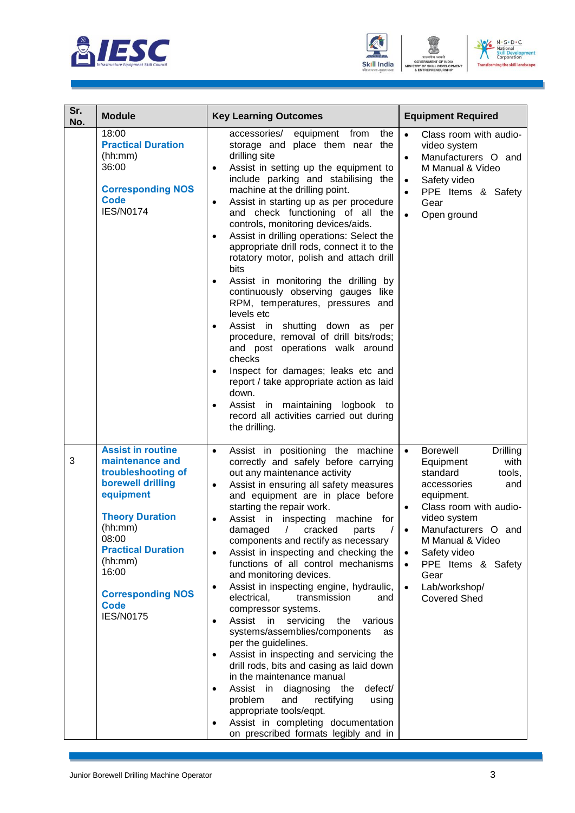





| Sr.<br>No. | <b>Module</b>                                                                                                                                                                                                                                                     | <b>Key Learning Outcomes</b>                                                                                                                                                                                                                                                                                                                                                                                                                                                                                                                                                                                                                                                                                                                                                                                                                                                                                                                                                                                                                                                                  | <b>Equipment Required</b>                                                                                                                                                                                                                                                                                                                                                  |  |  |
|------------|-------------------------------------------------------------------------------------------------------------------------------------------------------------------------------------------------------------------------------------------------------------------|-----------------------------------------------------------------------------------------------------------------------------------------------------------------------------------------------------------------------------------------------------------------------------------------------------------------------------------------------------------------------------------------------------------------------------------------------------------------------------------------------------------------------------------------------------------------------------------------------------------------------------------------------------------------------------------------------------------------------------------------------------------------------------------------------------------------------------------------------------------------------------------------------------------------------------------------------------------------------------------------------------------------------------------------------------------------------------------------------|----------------------------------------------------------------------------------------------------------------------------------------------------------------------------------------------------------------------------------------------------------------------------------------------------------------------------------------------------------------------------|--|--|
|            | 18:00<br><b>Practical Duration</b><br>(hh:mm)<br>36:00<br><b>Corresponding NOS</b><br><b>Code</b><br><b>IES/N0174</b>                                                                                                                                             | equipment from<br>the<br>accessories/<br>storage and place them near the<br>drilling site<br>Assist in setting up the equipment to<br>$\bullet$<br>include parking and stabilising the<br>machine at the drilling point.<br>Assist in starting up as per procedure<br>$\bullet$<br>and check functioning of all the<br>controls, monitoring devices/aids.<br>Assist in drilling operations: Select the<br>$\bullet$<br>appropriate drill rods, connect it to the<br>rotatory motor, polish and attach drill<br>bits<br>Assist in monitoring the drilling by<br>$\bullet$<br>continuously observing gauges like<br>RPM, temperatures, pressures and<br>levels etc<br>Assist in shutting down<br>as<br>per<br>$\bullet$<br>procedure, removal of drill bits/rods;<br>and post operations walk around<br>checks<br>Inspect for damages; leaks etc and<br>$\bullet$<br>report / take appropriate action as laid<br>down.<br>Assist in maintaining logbook to<br>$\bullet$<br>record all activities carried out during<br>the drilling.                                                            | Class room with audio-<br>$\bullet$<br>video system<br>Manufacturers O and<br>$\bullet$<br>M Manual & Video<br>Safety video<br>$\bullet$<br>PPE Items & Safety<br>$\bullet$<br>Gear<br>Open ground<br>$\bullet$                                                                                                                                                            |  |  |
| 3          | <b>Assist in routine</b><br>maintenance and<br>troubleshooting of<br>borewell drilling<br>equipment<br><b>Theory Duration</b><br>(hh:mm)<br>08:00<br><b>Practical Duration</b><br>(hh:mm)<br>16:00<br><b>Corresponding NOS</b><br><b>Code</b><br><b>IES/N0175</b> | Assist in positioning the machine<br>$\bullet$<br>correctly and safely before carrying<br>out any maintenance activity<br>Assist in ensuring all safety measures<br>$\bullet$<br>and equipment are in place before<br>starting the repair work.<br>Assist in inspecting machine<br>for<br>$\sqrt{2}$<br>damaged<br>cracked<br>parts<br>components and rectify as necessary<br>Assist in inspecting and checking the<br>$\bullet$<br>functions of all control mechanisms<br>and monitoring devices.<br>Assist in inspecting engine, hydraulic,<br>$\bullet$<br>electrical,<br>transmission<br>and<br>compressor systems.<br>Assist<br>in<br>servicing<br>the<br>various<br>$\bullet$<br>systems/assemblies/components<br>as<br>per the guidelines.<br>Assist in inspecting and servicing the<br>$\bullet$<br>drill rods, bits and casing as laid down<br>in the maintenance manual<br>Assist in<br>diagnosing<br>defect/<br>the<br>$\bullet$<br>problem<br>rectifying<br>and<br>using<br>appropriate tools/eqpt.<br>Assist in completing documentation<br>on prescribed formats legibly and in | <b>Borewell</b><br><b>Drilling</b><br>$\bullet$<br>with<br>Equipment<br>standard<br>tools,<br>accessories<br>and<br>equipment.<br>Class room with audio-<br>$\bullet$<br>video system<br>Manufacturers O and<br>$\bullet$<br>M Manual & Video<br>Safety video<br>$\bullet$<br>PPE Items & Safety<br>$\bullet$<br>Gear<br>Lab/workshop/<br>$\bullet$<br><b>Covered Shed</b> |  |  |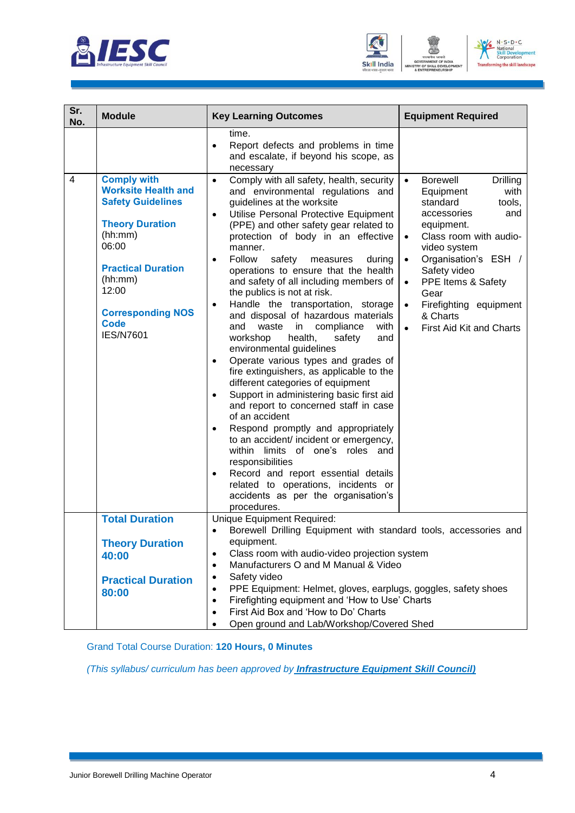





| Sr.<br>No.     | <b>Module</b>                                                                                                                                                                                                                              | <b>Key Learning Outcomes</b>                                                                                                                                                                                                                                                                                                                                                                                                                                                                                                                                                                                                                                                                                                                                                                                                                                                                                                                                                                                                                                                                                                                                                                               | <b>Equipment Required</b>                                                                                                                                                                                                                                                                                                                                                  |
|----------------|--------------------------------------------------------------------------------------------------------------------------------------------------------------------------------------------------------------------------------------------|------------------------------------------------------------------------------------------------------------------------------------------------------------------------------------------------------------------------------------------------------------------------------------------------------------------------------------------------------------------------------------------------------------------------------------------------------------------------------------------------------------------------------------------------------------------------------------------------------------------------------------------------------------------------------------------------------------------------------------------------------------------------------------------------------------------------------------------------------------------------------------------------------------------------------------------------------------------------------------------------------------------------------------------------------------------------------------------------------------------------------------------------------------------------------------------------------------|----------------------------------------------------------------------------------------------------------------------------------------------------------------------------------------------------------------------------------------------------------------------------------------------------------------------------------------------------------------------------|
|                |                                                                                                                                                                                                                                            | time.<br>Report defects and problems in time<br>$\bullet$<br>and escalate, if beyond his scope, as<br>necessary                                                                                                                                                                                                                                                                                                                                                                                                                                                                                                                                                                                                                                                                                                                                                                                                                                                                                                                                                                                                                                                                                            |                                                                                                                                                                                                                                                                                                                                                                            |
| $\overline{4}$ | <b>Comply with</b><br><b>Worksite Health and</b><br><b>Safety Guidelines</b><br><b>Theory Duration</b><br>(hh:mm)<br>06:00<br><b>Practical Duration</b><br>(hh:mm)<br>12:00<br><b>Corresponding NOS</b><br><b>Code</b><br><b>IES/N7601</b> | Comply with all safety, health, security<br>$\bullet$<br>and environmental regulations and<br>guidelines at the worksite<br>Utilise Personal Protective Equipment<br>$\bullet$<br>(PPE) and other safety gear related to<br>protection of body in an effective<br>manner.<br>Follow<br>safety<br>measures<br>during<br>$\bullet$<br>operations to ensure that the health<br>and safety of all including members of<br>the publics is not at risk.<br>Handle the transportation, storage<br>$\bullet$<br>and disposal of hazardous materials<br>and<br>waste<br>in<br>compliance<br>with<br>health,<br>workshop<br>safety<br>and<br>environmental guidelines<br>Operate various types and grades of<br>$\bullet$<br>fire extinguishers, as applicable to the<br>different categories of equipment<br>Support in administering basic first aid<br>$\bullet$<br>and report to concerned staff in case<br>of an accident<br>Respond promptly and appropriately<br>٠<br>to an accident/ incident or emergency,<br>within limits of one's roles and<br>responsibilities<br>Record and report essential details<br>٠<br>related to operations, incidents or<br>accidents as per the organisation's<br>procedures. | <b>Borewell</b><br>Drilling<br>$\bullet$<br>with<br>Equipment<br>standard<br>tools,<br>accessories<br>and<br>equipment.<br>Class room with audio-<br>$\bullet$<br>video system<br>Organisation's ESH /<br>$\bullet$<br>Safety video<br>PPE Items & Safety<br>$\bullet$<br>Gear<br>Firefighting equipment<br>$\bullet$<br>& Charts<br>First Aid Kit and Charts<br>$\bullet$ |
|                | <b>Total Duration</b>                                                                                                                                                                                                                      | Unique Equipment Required:<br>Borewell Drilling Equipment with standard tools, accessories and<br>$\bullet$                                                                                                                                                                                                                                                                                                                                                                                                                                                                                                                                                                                                                                                                                                                                                                                                                                                                                                                                                                                                                                                                                                |                                                                                                                                                                                                                                                                                                                                                                            |
|                | <b>Theory Duration</b><br>40:00<br><b>Practical Duration</b><br>80:00                                                                                                                                                                      | equipment.<br>Class room with audio-video projection system<br>٠<br>Manufacturers O and M Manual & Video<br>$\bullet$<br>Safety video<br>$\bullet$<br>PPE Equipment: Helmet, gloves, earplugs, goggles, safety shoes<br>$\bullet$<br>Firefighting equipment and 'How to Use' Charts<br>$\bullet$<br>First Aid Box and 'How to Do' Charts<br>٠<br>Open ground and Lab/Workshop/Covered Shed                                                                                                                                                                                                                                                                                                                                                                                                                                                                                                                                                                                                                                                                                                                                                                                                                 |                                                                                                                                                                                                                                                                                                                                                                            |

Grand Total Course Duration: **120 Hours, 0 Minutes**

*(This syllabus/ curriculum has been approved by Infrastructure Equipment Skill Council)*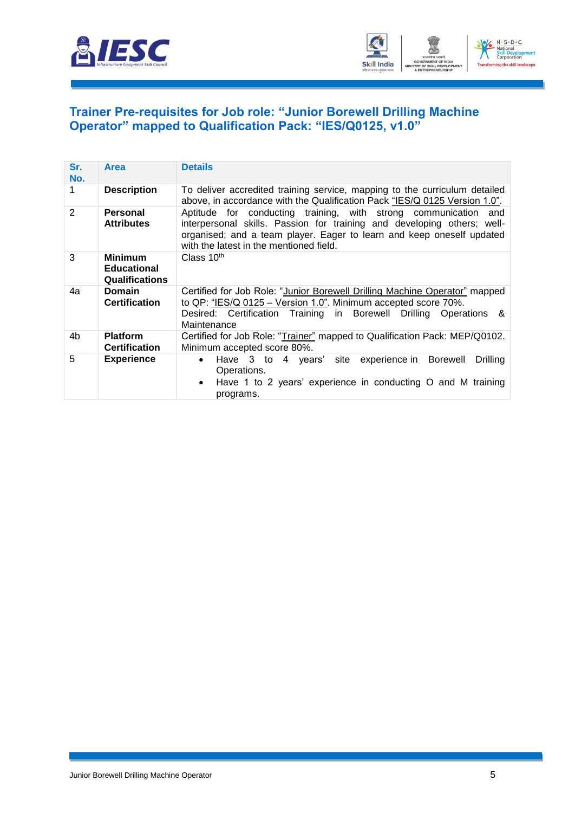



#### <span id="page-7-0"></span>**[Trainer Pre-requisites for Job role: "Junior Borewell Drilling Machine](#page-2-1)  [Operator" mapped to Qualification Pack: "IES/Q0125, v1.0"](#page-2-1)**

| Sr.<br>No.     | <b>Area</b>                                                   | <b>Details</b>                                                                                                                                                                                                                                                 |
|----------------|---------------------------------------------------------------|----------------------------------------------------------------------------------------------------------------------------------------------------------------------------------------------------------------------------------------------------------------|
|                | <b>Description</b>                                            | To deliver accredited training service, mapping to the curriculum detailed<br>above, in accordance with the Qualification Pack "IES/Q 0125 Version 1.0".                                                                                                       |
| $\overline{2}$ | <b>Personal</b><br><b>Attributes</b>                          | Aptitude for conducting training, with strong communication and<br>interpersonal skills. Passion for training and developing others; well-<br>organised; and a team player. Eager to learn and keep oneself updated<br>with the latest in the mentioned field. |
| 3              | <b>Minimum</b><br><b>Educational</b><br><b>Qualifications</b> | Class 10th                                                                                                                                                                                                                                                     |
| 4a             | <b>Domain</b><br><b>Certification</b>                         | Certified for Job Role: "Junior Borewell Drilling Machine Operator" mapped<br>to QP: "IES/Q 0125 - Version 1.0". Minimum accepted score 70%.<br>Desired: Certification Training in Borewell Drilling Operations<br>&<br>Maintenance                            |
| 4b             | <b>Platform</b><br><b>Certification</b>                       | Certified for Job Role: "Trainer" mapped to Qualification Pack: MEP/Q0102.<br>Minimum accepted score 80%.                                                                                                                                                      |
| 5              | <b>Experience</b>                                             | Have 3 to 4 years' site experience in Borewell<br><b>Drilling</b><br>$\bullet$<br>Operations.<br>• Have 1 to 2 years' experience in conducting O and M training<br>programs.                                                                                   |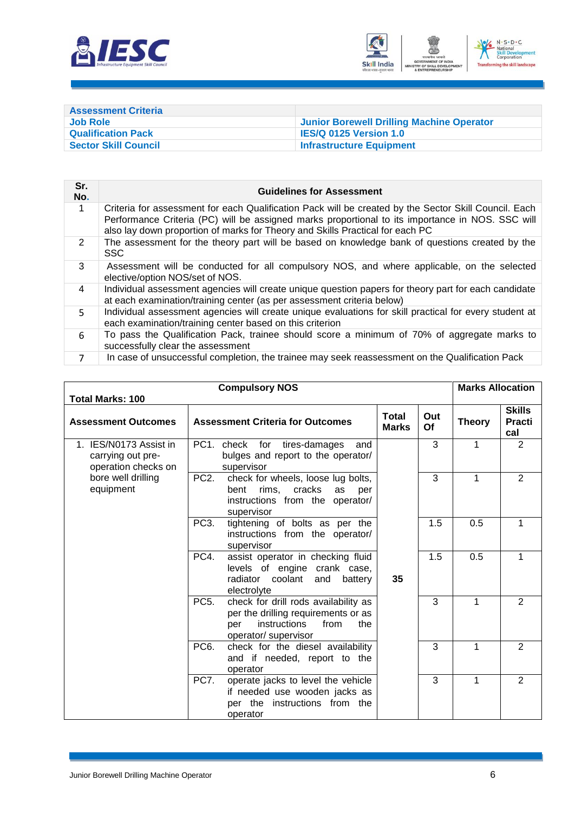



<span id="page-8-0"></span>

| <b>Assessment Criteria</b>  |                                           |
|-----------------------------|-------------------------------------------|
| <b>Job Role</b>             | Junior Borewell Drilling Machine Operator |
| <b>Qualification Pack</b>   | <b>IES/Q 0125 Version 1.0</b>             |
| <b>Sector Skill Council</b> | <b>Infrastructure Equipment</b>           |

| Sr.<br>No.     | <b>Guidelines for Assessment</b>                                                                                                                                                                                                                                                           |
|----------------|--------------------------------------------------------------------------------------------------------------------------------------------------------------------------------------------------------------------------------------------------------------------------------------------|
| $\mathbf{1}$   | Criteria for assessment for each Qualification Pack will be created by the Sector Skill Council. Each<br>Performance Criteria (PC) will be assigned marks proportional to its importance in NOS. SSC will<br>also lay down proportion of marks for Theory and Skills Practical for each PC |
| 2              | The assessment for the theory part will be based on knowledge bank of questions created by the<br><b>SSC</b>                                                                                                                                                                               |
| 3              | Assessment will be conducted for all compulsory NOS, and where applicable, on the selected<br>elective/option NOS/set of NOS.                                                                                                                                                              |
| 4              | Individual assessment agencies will create unique question papers for theory part for each candidate<br>at each examination/training center (as per assessment criteria below)                                                                                                             |
| 5.             | Individual assessment agencies will create unique evaluations for skill practical for every student at<br>each examination/training center based on this criterion                                                                                                                         |
| 6              | To pass the Qualification Pack, trainee should score a minimum of 70% of aggregate marks to<br>successfully clear the assessment                                                                                                                                                           |
| $\overline{7}$ | In case of unsuccessful completion, the trainee may seek reassessment on the Qualification Pack                                                                                                                                                                                            |

| <b>Total Marks: 100</b>                                            | <b>Compulsory NOS</b>                                                                                                                                   |                              |           | <b>Marks Allocation</b> |                                       |
|--------------------------------------------------------------------|---------------------------------------------------------------------------------------------------------------------------------------------------------|------------------------------|-----------|-------------------------|---------------------------------------|
| <b>Assessment Outcomes</b>                                         | <b>Assessment Criteria for Outcomes</b>                                                                                                                 | <b>Total</b><br><b>Marks</b> | Out<br>Of | <b>Theory</b>           | <b>Skills</b><br><b>Practi</b><br>cal |
| 1. IES/N0173 Assist in<br>carrying out pre-<br>operation checks on | PC1.<br>check for tires-damages<br>bulges and report to the operator/<br>supervisor                                                                     | and                          | 3         | 1                       | $\overline{2}$                        |
| bore well drilling<br>equipment                                    | PC <sub>2</sub><br>check for wheels, loose lug bolts,<br>cracks<br>rims.<br>bent<br>as<br>instructions from the operator/<br>supervisor                 | per                          | 3         | 1                       | $\overline{2}$                        |
|                                                                    | PC <sub>3</sub> .<br>tightening of bolts as per the<br>instructions from the operator/<br>supervisor                                                    |                              | 1.5       | 0.5                     | 1                                     |
|                                                                    | assist operator in checking fluid<br>PC4.<br>levels of engine crank case,<br>radiator coolant and<br>electrolyte                                        | 35<br>battery                | 1.5       | 0.5                     | 1                                     |
|                                                                    | check for drill rods availability as<br>PC <sub>5</sub> .<br>per the drilling requirements or as<br>instructions<br>from<br>per<br>operator/ supervisor | the                          | 3         | 1                       | $\overline{2}$                        |
|                                                                    | PC <sub>6</sub> .<br>check for the diesel availability<br>and if needed, report to the<br>operator                                                      |                              | 3         | 1                       | $\overline{2}$                        |
|                                                                    | PC7.<br>operate jacks to level the vehicle<br>if needed use wooden jacks as<br>per the instructions from the<br>operator                                |                              | 3         | 1                       | $\overline{2}$                        |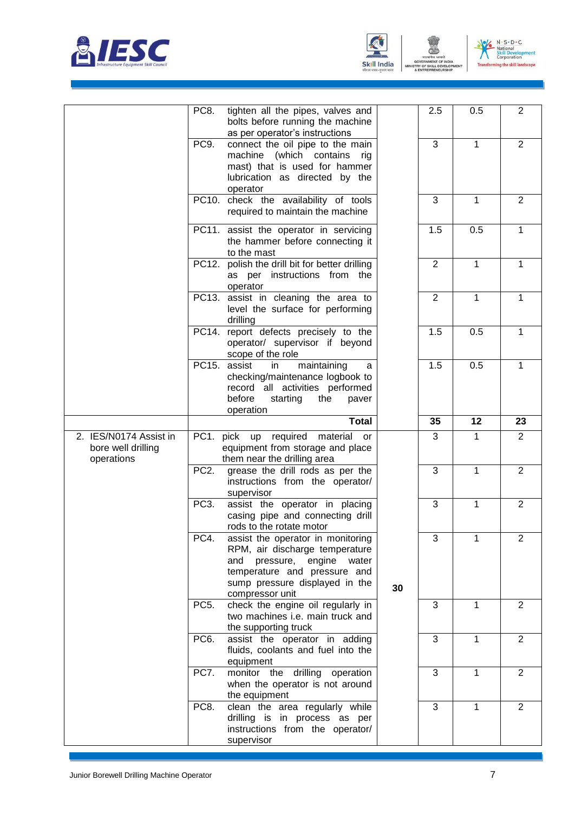





ENT

|                                                            | PC8.              | tighten all the pipes, valves and<br>bolts before running the machine<br>as per operator's instructions                                                                                         |    | 2.5            | 0.5          | $\overline{2}$ |
|------------------------------------------------------------|-------------------|-------------------------------------------------------------------------------------------------------------------------------------------------------------------------------------------------|----|----------------|--------------|----------------|
|                                                            | PC9.              | connect the oil pipe to the main<br>machine (which contains<br>rig<br>mast) that is used for hammer<br>lubrication as directed by the<br>operator                                               |    | 3              | $\mathbf{1}$ | $\overline{2}$ |
|                                                            |                   | PC10. check the availability of tools<br>required to maintain the machine                                                                                                                       |    | 3              | 1            | $\overline{2}$ |
|                                                            |                   | PC11. assist the operator in servicing<br>the hammer before connecting it<br>to the mast                                                                                                        |    | 1.5            | 0.5          | 1              |
|                                                            |                   | PC12. polish the drill bit for better drilling<br>as per instructions from the<br>operator                                                                                                      |    | $\overline{2}$ | $\mathbf{1}$ | 1              |
|                                                            |                   | PC13. assist in cleaning the area to<br>level the surface for performing<br>drilling                                                                                                            |    | $\overline{2}$ | $\mathbf{1}$ | $\mathbf{1}$   |
|                                                            |                   | PC14. report defects precisely to the<br>operator/ supervisor if beyond<br>scope of the role                                                                                                    |    | 1.5            | 0.5          | 1              |
|                                                            |                   | PC15. assist<br>maintaining<br>in<br>a<br>checking/maintenance logbook to<br>record all activities performed<br>before<br>starting<br>the<br>paver<br>operation                                 |    | 1.5            | 0.5          | 1              |
|                                                            |                   | <b>Total</b>                                                                                                                                                                                    |    | 35             | 12           | 23             |
| 2. IES/N0174 Assist in<br>bore well drilling<br>operations |                   | PC1. pick up required<br>material<br>or<br>equipment from storage and place<br>them near the drilling area                                                                                      |    | 3              | $\mathbf{1}$ | $\overline{2}$ |
|                                                            | PC <sub>2</sub> . | grease the drill rods as per the<br>instructions from the operator/<br>supervisor                                                                                                               |    | 3              | 1            | $\overline{2}$ |
|                                                            | PC <sub>3</sub> . | assist the operator in placing<br>casing pipe and connecting drill<br>rods to the rotate motor                                                                                                  |    | 3              | 1            | $\overline{2}$ |
|                                                            | PC4.              | assist the operator in monitoring<br>RPM, air discharge temperature<br>pressure,<br>engine<br>and<br>water<br>temperature and pressure and<br>sump pressure displayed in the<br>compressor unit | 30 | 3              | 1            | 2              |
|                                                            | PC <sub>5</sub> . | check the engine oil regularly in<br>two machines i.e. main truck and<br>the supporting truck                                                                                                   |    | 3              | 1            | $\overline{2}$ |
|                                                            | PC <sub>6</sub> . | assist the operator in adding<br>fluids, coolants and fuel into the<br>equipment                                                                                                                |    | 3              | 1            | $\overline{2}$ |
|                                                            | PC7.              | monitor the drilling operation<br>when the operator is not around<br>the equipment                                                                                                              |    | 3              | 1            | $\overline{2}$ |
|                                                            | PC8.              | clean the area regularly while<br>drilling is in process as per<br>instructions from the operator/<br>supervisor                                                                                |    | 3              | 1            | $\overline{2}$ |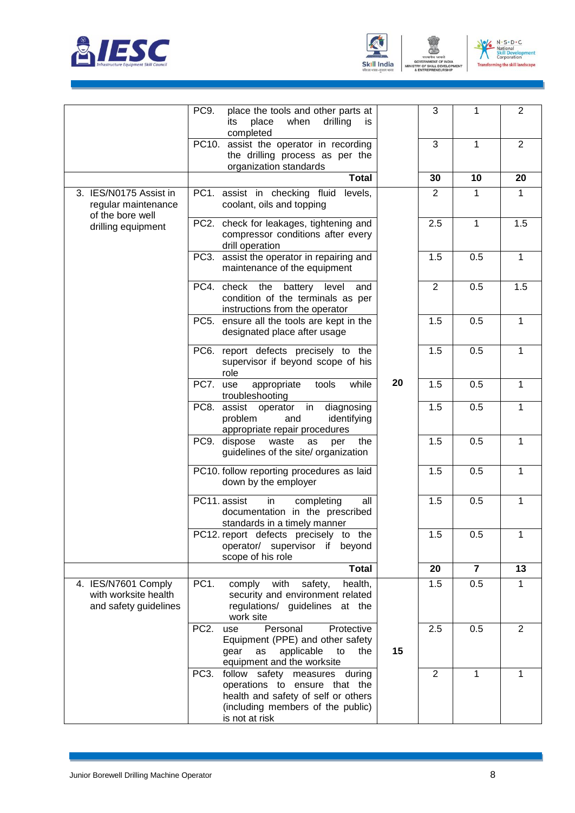





ENT

|                                                                      | PC9.<br>place the tools and other parts at<br>place<br>when<br>drilling<br>its<br>is.<br>completed                                                                         |    | 3              | 1              | $\overline{2}$ |
|----------------------------------------------------------------------|----------------------------------------------------------------------------------------------------------------------------------------------------------------------------|----|----------------|----------------|----------------|
|                                                                      | PC10. assist the operator in recording<br>the drilling process as per the<br>organization standards                                                                        |    | 3              | 1              | $\overline{2}$ |
|                                                                      | <b>Total</b>                                                                                                                                                               |    | 30             | 10             | 20             |
| 3. IES/N0175 Assist in<br>regular maintenance                        | PC1. assist in checking fluid<br>levels,<br>coolant, oils and topping                                                                                                      |    | $\overline{2}$ | 1              | 1              |
| of the bore well<br>drilling equipment                               | PC2. check for leakages, tightening and<br>compressor conditions after every<br>drill operation                                                                            |    | 2.5            | 1              | 1.5            |
|                                                                      | assist the operator in repairing and<br>PC3.<br>maintenance of the equipment                                                                                               |    | 1.5            | 0.5            | $\mathbf{1}$   |
|                                                                      | PC4. check the<br>battery<br>level<br>and<br>condition of the terminals as per<br>instructions from the operator                                                           |    | $\overline{2}$ | 0.5            | 1.5            |
|                                                                      | ensure all the tools are kept in the<br>PC5.<br>designated place after usage                                                                                               |    | 1.5            | 0.5            | $\mathbf{1}$   |
|                                                                      | PC6. report defects precisely to the<br>supervisor if beyond scope of his<br>role                                                                                          |    | 1.5            | 0.5            | 1              |
|                                                                      | PC7.<br>tools<br>while<br>appropriate<br>use<br>troubleshooting                                                                                                            | 20 | 1.5            | 0.5            | 1              |
|                                                                      | PC8.<br>assist operator<br>in<br>diagnosing<br>problem<br>and<br>identifying<br>appropriate repair procedures                                                              |    | 1.5            | 0.5            | 1              |
|                                                                      | PC9.<br>dispose<br>waste<br>the<br>as<br>per<br>guidelines of the site/ organization                                                                                       |    | 1.5            | 0.5            | 1              |
|                                                                      | PC10. follow reporting procedures as laid<br>down by the employer                                                                                                          |    | 1.5            | 0.5            | 1              |
|                                                                      | PC11. assist<br>in<br>completing<br>all<br>documentation in the prescribed<br>standards in a timely manner                                                                 |    | 1.5            | 0.5            | $\mathbf{1}$   |
|                                                                      | PC12. report defects precisely to the<br>operator/ supervisor if<br>beyond<br>scope of his role                                                                            |    | 1.5            | 0.5            | 1              |
|                                                                      | <b>Total</b>                                                                                                                                                               |    | 20             | $\overline{7}$ | 13             |
| 4. IES/N7601 Comply<br>with worksite health<br>and safety guidelines | PC <sub>1</sub> .<br>health,<br>comply<br>with<br>safety,<br>security and environment related<br>regulations/ guidelines at the<br>work site                               |    | 1.5            | 0.5            | 1              |
|                                                                      | Personal<br>PC <sub>2</sub> .<br>Protective<br>use<br>Equipment (PPE) and other safety<br>applicable<br>gear<br>as<br>to<br>the<br>equipment and the worksite              | 15 | 2.5            | 0.5            | $\overline{2}$ |
|                                                                      | PC3.<br>follow<br>safety<br>measures during<br>operations to ensure that the<br>health and safety of self or others<br>(including members of the public)<br>is not at risk |    | $\overline{2}$ | 1              | 1              |